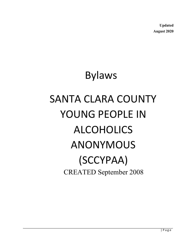**Updated August 2020**

# Bylaws

# SANTA CLARA COUNTY YOUNG PEOPLE IN ALCOHOLICS ANONYMOUS (SCCYPAA) CREATED September 2008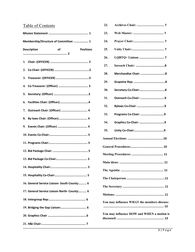# Table of Contents

| Membership/Structure of Committee:  1               |                                              |  |  |  |  |
|-----------------------------------------------------|----------------------------------------------|--|--|--|--|
| <b>Description</b><br><b>of</b><br><b>Positions</b> |                                              |  |  |  |  |
|                                                     |                                              |  |  |  |  |
|                                                     |                                              |  |  |  |  |
|                                                     |                                              |  |  |  |  |
|                                                     |                                              |  |  |  |  |
|                                                     |                                              |  |  |  |  |
|                                                     |                                              |  |  |  |  |
|                                                     | 7. Outreach Chair: (Officer)  4              |  |  |  |  |
| 8.                                                  |                                              |  |  |  |  |
|                                                     |                                              |  |  |  |  |
|                                                     |                                              |  |  |  |  |
|                                                     |                                              |  |  |  |  |
|                                                     |                                              |  |  |  |  |
|                                                     |                                              |  |  |  |  |
|                                                     |                                              |  |  |  |  |
|                                                     |                                              |  |  |  |  |
|                                                     | 16. General Service Liaison- South County: 6 |  |  |  |  |
|                                                     | 17. General Service Liaison North- County: 6 |  |  |  |  |
|                                                     |                                              |  |  |  |  |
|                                                     | 19. Bridging the Gap Liaison: 6              |  |  |  |  |
|                                                     |                                              |  |  |  |  |
|                                                     |                                              |  |  |  |  |

| 22.                                         |                      |  |  |  |  |
|---------------------------------------------|----------------------|--|--|--|--|
| 23.                                         |                      |  |  |  |  |
| 24.                                         |                      |  |  |  |  |
| 25.                                         |                      |  |  |  |  |
| 26.                                         |                      |  |  |  |  |
| 27.                                         |                      |  |  |  |  |
| 28.                                         |                      |  |  |  |  |
| 29.                                         |                      |  |  |  |  |
| 30.                                         |                      |  |  |  |  |
| 31.                                         | Outreach Co-Chair: 9 |  |  |  |  |
| 32.                                         |                      |  |  |  |  |
| 33.                                         |                      |  |  |  |  |
| 34.                                         |                      |  |  |  |  |
| 35.                                         |                      |  |  |  |  |
|                                             |                      |  |  |  |  |
|                                             |                      |  |  |  |  |
|                                             |                      |  |  |  |  |
|                                             |                      |  |  |  |  |
|                                             |                      |  |  |  |  |
|                                             |                      |  |  |  |  |
|                                             |                      |  |  |  |  |
|                                             |                      |  |  |  |  |
| You may influence WHAT the members discuss: |                      |  |  |  |  |
| You may influence HOW and WHEN a motion is  |                      |  |  |  |  |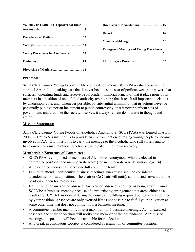| You may INTERRUPT a speaker for these |  |
|---------------------------------------|--|
|                                       |  |
|                                       |  |
| Voting Procedures for Conference:  14 |  |
|                                       |  |
|                                       |  |

| <b>Emergency Meeting and Voting Procedures:</b> |
|-------------------------------------------------|
|                                                 |

#### **Preamble:**

Santa Clara County Young People in Alcoholics Anonymous (SCCYPAA) shall observe the spirit of AA tradition, taking care that it never becomes the seat of perilous wealth or power; that sufficient operating funds and reserve be its prudent financial principal; that it place none of its members in a position of unqualified authority over others; that it reach all important decisions by discussion, vote, and, whenever possible, by substantial unanimity; that its actions never be personally punitive nor an incitement to public controversy; that it never perform acts of government, and that, like the society it serves, it always remain democratic in thought and action.

#### **Mission Statement:**

Santa Clara County Young People of Alcoholics Anonymous (SCCYPAA) was formed in April 2006. SCCYPAA's intention is to provide an environment encouraging young people to become involved in AA. Our mission is to carry the message to the alcoholic who still suffers and to have our actions inspire others to actively participate in their own recovery.

#### **Membership/Structure of Committee:**

- SCCYPAA is comprised of members of Alcoholics Anonymous who are elected to committee positions and members-at-large\* (see members-at-large definition page 14)
- All elected positions shall serve one full committee term.
- Failure to attend 3 consecutive business meetings, unexcused shall be considered abandonment of said position. The chair or Co Chair will notify said trusted servant that the position is open for re-election.
- Definition of an unexcused absence: An excused absence is defined as being absent from a SCCYPAA business meeting because of a pre-existing arrangement that arose either as a result of SCCYPAA motion of during the course of fulfilling required obligations as defined by your position. Absences are only excused if it is not possible to fulfill your obligation at some other time that does not conflict with a business meeting.
- A committee member may only miss a maximum of 5 business meetings. At 4 unexcused absences, the chair or co-chair will notify said member of their attendance. At 5 missed meetings, the position will become available for re-election.
- Any break in continuous sobriety is considered a resignation of committee position.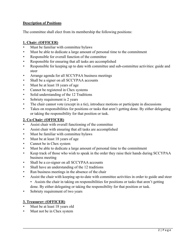#### **Description of Positions**

The committee shall elect from its membership the following positions:

#### **1. Chair: (OFFICER)**

- Must be familiar with committee bylaws
- Must be able to dedicate a large amount of personal time to the commitment
- Responsible for overall function of the committee
- Responsible for ensuring that all tasks are accomplished
- Responsible for keeping up to date with committee and sub-committee activities: guide and steer
- Arrange agenda for all SCCYPAA business meetings
- Shall be a signer on all SCCYPAA accounts
- Must be at least 18 years of age
- Cannot be registered in Chex systems
- Solid understanding of the 12 Traditions
- Sobriety requirement is 2 years
- The chair cannot vote (except in a tie), introduce motions or participate in discussions
- Takes on responsibilities for positions or tasks that aren't getting done. By either delegating or taking the responsibility for that position or task.

#### **2. Co-Chair: (OFFICER)**

- Assist chair with overall functioning of the committee
- Assist chair with ensuring that all tasks are accomplished
- Must be familiar with committee bylaws
- Must be at least 18 years of age
- Cannot be in Chex system
- Must be able to dedicate a large amount of personal time to the commitment
- Keep track of those who wish to speak in the order they raise their hands during SCCYPAA business meeting
- Shall be a co-signer on all SCCYPAA accounts
- Shall have an understanding of the 12 traditions
- Run business meetings in the absence of the chair
- Assist the chair with keeping up-to-date with committee activities in order to guide and steer
	- Assists the chair in taking on responsibilities for positions or tasks that aren't getting done. By either delegating or taking the responsibility for that position or task.
- Sobriety requirement of two years

# **3. Treasurer: (OFFICER)**

- Must be at least 18 years old
- Must not be in Chex system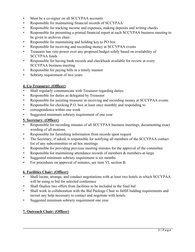- Must be a co-signer on all SCCYPAA accounts
- Responsible for maintaining financial records of SCCYPAA
- Responsible for tracking income and expenses, making deposits and writing checks
- Responsible for presenting a printed financial report at each SCCYPAA business meeting to be given to archives chair.
- Responsible for maintaining and holding key to PO box
- Responsible for receiving and recording money at SCCYPAA events
- Treasurer has veto power over any proposed budget solely based on availability of SCCYPAA funds
- Responsible for having bank records and checkbook available for review at every SCCYPAA business meeting
- Responsible for paying bills in a timely manner
- Sobriety requirement of two years

#### **4. Co-Treasurer: (Officer)**

- Shall regularly communicate with Treasurer regarding duties
- Responsible for duties as delegated by Treasurer
- Responsible for assisting treasurer in receiving and recording money at SCCYPAA events
- Responsible for checking P.O. box at least once monthly and responding to
- correspondence within one week
- Suggested minimum sobriety requirement of one year

#### **5. Secretary: (Officer)**

- Responsible for recording minutes of all SCCYPAA business meetings, documenting exact wording of all motions
- Responsible for furnishing information from records upon request
- The Secretary, if asked, is responsible for notifying all members of the SCCYPAA contact list of any subcommittee or ad hoc meetings
- Responsible for providing previous meeting minutes for the approval of the committee
- Responsible for maintaining attendance records of members & members-at-large
- Suggested minimum sobriety requirement is six months
- For procedures on approval of minutes, see item VI, section B.

#### **6. Facilities Chair: (Officer)**

- Shall locate, arrange, and conduct negotiations with at least two hotels in which SCCYPAA will be using to bid for selected conference
- Shall finalize two offers from facilities to be included in the final bid
- Shall work in collaboration with the Bid Package Chair to fulfill bidding requirements and recruit any help necessary to contact and negotiate with hotels
- Suggested minimum sobriety requirement one year

#### **7. Outreach Chair: (Officer)**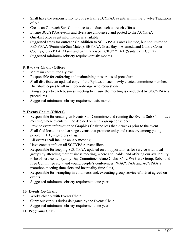- Shall have the responsibility to outreach all SCCYPAA events within the Twelve Traditions of AA
- Create an Outreach Sub-Committee to conduct such outreach efforts
- Ensure SCCYPAA events and flyers are announced and posted to the ACYPAA
- One-List once event information is available
- Suggested areas for outreach (in addition to SCCYPAA's area) include, but not limited to, PENYPAA (Peninsula/San Mateo), EBYPAA (East Bay – Alameda and Contra Costa County), GGYPAA (Marin and San Francisco), CRUZYPAA (Santa Cruz County)
- Suggested minimum sobriety requirement six months

#### **8. By-laws Chair: (Officer)**

- Maintain committee Bylaws
- Responsible for enforcing and maintaining these rules of procedure.
- Shall distribute an updated copy of the Bylaws to each newly elected committee member. Distribute copies to all members-at-large who request one.
- Bring a copy to each business meeting to ensure the meeting is conducted by SCCYPAA's procedures
- Suggested minimum sobriety requirement six months

#### **9. Events Chair: (Officer)**

- Responsible for creating an Events Sub-Committee and running the Events Sub-Committee meeting where events will be decided on with a group conscience.
- Provide event information to Graphics Chair no less than 6 weeks prior to the event.
- Shall find locations and arrange events that promote unity and recovery among young people in AA, regardless of age.
- All events shall include an AA meeting
- Have contact info on all SCCYPAA event fliers
- Responsible for keeping SCCYPAA updated on all opportunities for service with local groups by attending their business meeting, where applicable, and offering our availability to be of service i.e.: (Unity Day Committee, Alano Clubs, SNL, We Care Group, Sober and Free Committee etc.), and young people's conferences (WACYPAA and ACYPAA's marathon meeting time slots and hospitality time slots).
- Responsible for wrangling in volunteers and, executing group service efforts at agreed on events
- Suggested minimum sobriety requirement one year

#### **10. Events Co-Chair:**

- Works closely with Events Chair
- Carry out various duties delegated by the Events Chair
- Suggested minimum sobriety requirement one year

#### **11. Programs Chair:**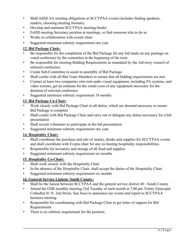- Shall fulfill AA meeting obligations at SCCYPAA events (includes finding speakers, readers, choosing meeting formats)
- Develop and maintain SCCYPAA meeting binder
- Fulfill meeting Secretary position at meetings, or find someone else to do so
- Works in collaboration with events chair
- Suggested minimum sobriety requirement one year

#### **12. Bid Package Chair:**

- Be responsible for the completion of the Bid Package for any bid made on any package on voted conference by the committee at the beginning of the term.
- Be responsible for meeting Bidding Requirements as mandated by the Advisory council of selected conference
- Create Sub-Committee to assist in assembly of Bid Package
- Shall confer with all Bid Team Members to ensure that all bidding requirements are met
- Contact at least two companies who rent audio visual equipment, including PA systems, and video screens, get an estimate for the rental costs of any equipment necessary for the duration of selected conference
- Suggested minimum sobriety requirement 18 months

# **13. Bid Package Co-Chair:**

- Work closely with Bid Package Chair in all duties, which are deemed necessary to ensure Bid Package is complete
- Shall confer with Bid Package Chair and carry out or delegate any duties necessary for a bid presentation
- Shall recruit volunteers to participate in the bid presentation
- Suggested minimum sobriety requirement one year

# **14. Hospitality Chair:**

- Shall coordinate the purchase and sale of snacks, drinks and supplies for SCCYPAA events and shall coordinate with Events chair for any co-hosting hospitality responsibilities.
- Responsible for inventory and storage of all food and supplies
- Suggested minimum sobriety requirement six months

# **15. Hospitality Co-Chair:**

- Shall work closely with the Hospitality Chair
- In the absence of the Hospitality Chair, shall accept the duties of the Hospitality Chair.
- Suggested minimum sobriety requirement six months

# **16. General Service Liaison- South County:**

- Shall be the liaison between SCCYPAA and the general service district 40 South County
- Attend the GSR monthly meeting (3rd Tuesday of each month at 7:00 pm Trinity Episcopal Cathedral 81 N. 2nd Street, San Jose) to announce our events and report to SCCYPAA business meeting
- Responsible for coordinating with Bid Package Chair to get letter of support for Bid Requirements
- There is no sobriety requirement for the position.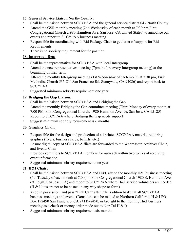# **17. General Service Liaison North- County:**

- Shall be the liaison between SCCYPAA and the general service district 04 North County
- Attend the GSR monthly meeting (2nd Wednesday of each month at 7:30 pm First Congregational Church ,1980 Hamilton Ave. San Jose, CA United States) to announce our events and report to SCCYPAA business meeting
- Responsible for coordinating with Bid Package Chair to get letter of support for Bid Requirements
- There is no sobriety requirement for the position.

#### **18. Intergroup Rep:**

- Shall be the representative for SCCYPAA with local Intergroup
- Attend the new representatives meeting (7pm, before every Intergroup meeting) at the beginning of their term.
- Attend the monthly Intergroup meeting (1st Wednesday of each month at 7:30 pm, First Methodist Church 535 Old San Francisco Rd. Sunnyvale, CA 94086) and report back to SCCYPAA
- Suggested minimum sobriety requirement one year

# **19. Bridging the Gap Liaison:**

- Shall be the liaison between SCCYPAA and Bridging the Gap
- Attend the monthly Bridging the Gap committee meeting (Third Monday of every month at 7:00 PM, First Congregational Church: 1980 Hamilton Avenue, San Jose, CA 95125)
- Report to SCCYPAA where Bridging the Gap needs support
- Suggest minimum sobriety requirement is 6 months

# **20. Graphics Chair:**

- Responsible for the design and production of all printed SCCYPAA material requiring graphics (flyers, business cards, t-shirts, etc.)
- Ensure digital copy of SCCYPAA fliers are forwarded to the Webmaster, Archives Chair, and Events Chair
- Provide event fliers to SCCYPAA members for outreach within two weeks of receiving event information.
- Suggested minimum sobriety requirement one year

# **21. H&I Chair:**

- Shall be the liaison between SCCYPAA and H&I, attend the monthly H&I business meeting (4th Tuesday of each month at 7:00 pm First Congregational Church 1980 E. Hamilton Ave. (at Leigh) San Jose, CA) and report to SCCYPAA where H&I service volunteers are needed (H & I lites are not to be posted in any way shape or form)
- Keep in possession, and pass "Pink Can" after 7th Tradition basket at all SCCYPAA business meetings and events (Donations can be mailed to Northern California H & I PO Box 192490 San Francisco, CA 94119-2490, or brought to the monthly H&I business meeting as a check or money order made out to Nor Cal H & I)
- Suggested minimum sobriety requirement six months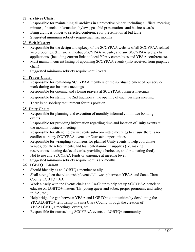# **22. Archives Chair:**

- Responsible for maintaining all archives in a protective binder, including all fliers, meeting minutes, financial information, bylaws, past bid presentations and business cards
- Bring archives binder to selected conference for presentation at bid table
- Suggested minimum sobriety requirement six months

# **23. Web Master:**

- Responsible for the design and upkeep of the SCCYPAA website of all SCCYPAA related web properties. (I.E. social media, SCCYPAA website, and any SCCYPAA group chat applications. (including current links to local YPAA committees and YPAA conferences).
- Must maintain current listing of upcoming SCCYPAA events (info received from graphics chair)
- Suggested minimum sobriety requirement 2 years

#### **24. Prayer Chair:**

- Responsible for reminding SCCYPAA members of the spiritual element of our service work during our business meetings
- Responsible for opening and closing prayers at SCCYPAA business meetings
- Responsible for stating the 2nd tradition at the opening of each business meeting.
- There is no sobriety requirement for this position

#### **25. Unity Chair:**

- Responsible for planning and execution of monthly informal committee bonding events
- Responsible for providing information regarding time and location of Unity events at the monthly business meeting
- Responsible for attending every events sub-committee meetings to ensure there is no conflict with any SCCYPAA events or Outreach opportunities
- Responsible for wrangling volunteers for planned Unity events to help coordinate venues, donate refreshments, and loan entertainment supplies (i.e. making reservations, loaning decks of cards, providing a barbecue, and/or donating food).
- Not to use any SCCYPAA funds or announce at meeting level
- Suggested minimum sobriety requirement is six months

# **26. LGBTQ+ Liaison:**

- Should identify as an LGBTQ+ member or ally
- Shall strengthen the relationship/events/fellowship between YPAA and Santa Clara County LGBTQ+ AA
- Work closely with the Events chair and Co-Chair to help set up SCCYPAA panels to educate on LGBTQ+ matters (I.E. young queer and sober, proper pronouns, and safety in AA, etc.)
- Help bridge the gap between YPAA and LGBTQ+ communities by developing the YPAALGBTQ+ fellowship in Santa Clara County through the creation of YPAALGBTQ+ meetings, events, etc.
- Responsible for outreaching SCCYPAA events to LGBTQ+ community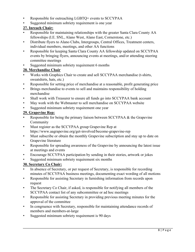- Responsible for outreaching LGBTQ+ events to SCCYPAA
- Suggested minimum sobriety requirement is one year

# **27. Inreach Chair:**

- Responsible for maintaining relationships with the greater Santa Clara County AA fellowships (I.E. SNL, Alano West, Alano East, Cornerstone, etc.)
- Distribute flyers to Alano Clubs, Intergroups, Central Offices, Treatment centers, individual members, meetings, and other AA functions
- Responsible for keeping Santa Clara County AA fellowship updated on SCCYPAA events by bringing flyers, announcing events at meetings, and/or attending steering committee meetings
- Suggested minimum sobriety requirement 6 months

# **28. Merchandise Chair**

- Works with Graphics Chair to create and sell SCCYPAA merchandise (t-shirts, sweatshirts, hats, etc.)
- Responsible for setting price of merchandise at a reasonable, profit generating price
- Brings merchandise to events to sell and maintains responsibility of holding merchandise
- Shall work with Treasurer to ensure all funds go into SCCYPAA bank account
- May work with the Webmaster to sell merchandise on SCCYPAA website
- Suggested minimum sobriety requirement one year

# **29. Grapevine Rep:**

- Responsible for being the primary liaison between SCCYPAA & the Grapevine Community
- Must register as the SCCYPAA group Grapevine Rep at https://www.aagrapevine.org/get-involved/become-grapevine-rep
- Must subscribe or obtain the monthly Grapevine subscription and stay up to date on Grapevine literature
- Responsible for spreading awareness of the Grapevine by announcing the latest issue at meetings and events
- Encourage SCCYPAA participation by sending in their stories, artwork or jokes
- Suggested minimum sobriety requirement six months

# **30. Secretary Co Chair:**

- In absence of Secretary, or per request of Secretary, is responsible for recording minutes of SCCYPAA business meetings, documenting exact wording of all motions
- Responsible for assisting Secretary in furnishing information from records upon request
- The Secretary Co Chair, if asked, is responsible for notifying all members of the SCCYPAA contact list of any subcommittee or ad hoc meetings
- Responsible for assisting Secretary in providing previous meeting minutes for the approval of the committee
- In congruence with Secretary, responsible for maintaining attendance records of members and members-at-large
- Suggested minimum sobriety requirement is 90 days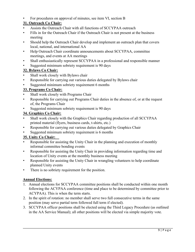• For procedures on approval of minutes, see item VI, section B

# **31. Outreach Co Chair:**

- Assists the Outreach Chair with all functions of SCCYPAA outreach
- Fills in for the Outreach Chair if the Outreach Chair is not present at the business meeting
- Should help the Outreach Chair develop and implement an outreach plan that covers local, national, and international AA
- Help Outreach Chair coordinate announcements about SCCYPAA, committee meetings, and events at AA meetings
- Shall enthusiastically represent SCCYPAA in a professional and responsible manner
- Suggested minimum sobriety requirement is 90 days

# **32. Bylaws Co Chair:**

- Shall work closely with Bylaws chair
- Responsible for carrying out various duties delegated by Bylaws chair
- Suggested minimum sobriety requirement 6 months

#### **33. Programs Co Chair:**

- Shall work closely with Programs Chair
- Responsible for carrying out Programs Chair duties in the absence of, or at the request of, the Programs Chair
- Suggested minimum sobriety requirement is 90 days

#### **34. Graphics Co Chair:**

- Shall work closely with the Graphics Chair regarding production of all SCCYPAA printed material (flyers, business cards, t-shirts, etc.)
- Responsible for carrying out various duties delegated by Graphics Chair
- Suggested minimum sobriety requirement is 6 months

# **35. Unity Co Chair:**

- Responsible for assisting the Unity Chair in the planning and execution of monthly informal committee bonding events
- Responsible for assisting the Unity Chair in providing information regarding time and location of Unity events at the monthly business meeting
- Responsible for assisting the Unity Chair in wrangling volunteers to help coordinate planned Unity events
- There is no sobriety requirement for the position.

# **Annual Elections:**

- 1. Annual elections for SCCYPAA committee positions shall be conducted within one month following the ACYPAA conference (time and place to be determined by committee prior to ACYPAA). This is when the term starts.
- 2. In the spirit of rotation: no member shall serve two full consecutive terms in the same position (may serve partial term followed full term if elected).
- 3. SCCYPAA officer positions shall be elected using the Third Legacy Procedure (as outlined in the AA Service Manual); all other positions will be elected via simple majority vote.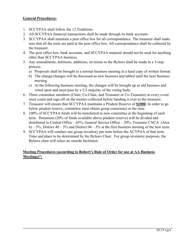#### **General Procedures:**

- 1. SCCYPAA shall follow the 12 Traditions
- 2. All SCCYPAA financial transactions shall be made through its bank accounts.
- 3. SCCYPAA shall maintain a post office box for all correspondence. The treasurer shall make sure that all the rents are paid at the post office box. All correspondence shall be collected by the treasurer.
- 4. The post office box, bank accounts, and SCCYPAA material should not be used for anything other than SCCYPAA business.
- 5. Any amendments, deletions, additions, revisions to the Bylaws shall be made in a 3-step process:
	- a) Proposals shall be brought to a normal business meeting in a hard copy of written format.
	- b) The change/changes will be discussed as new business and tabled until the next business meeting.
	- c) At the following business meeting, the changes will be brought up as old business and voted upon and must pass by a 2/3 majority of the voting body.
- 6. Three committee members (Chair, Co-Chair, and Treasurer or Co-Treasurer) at every event must count and sign off on the monies collected before handing it over to the treasurer.
- 7. Treasurer will ensure that SCCYPAA maintains a Prudent Reserve of **\$1000**. In order to go below prudent reserve, committee must obtain group conscience at the time.
- 8. 100% of SCCYPAA funds will be transferred to new committee at the beginning of each term. Donations (20% of funds available above prudent reserve) will be divided and distributed to Central Office – 65%, General Service Office – 20%, Treasurer CNCA (Area  $6$ ) – 5%, District 40 – 5% and District 04 – 5% at the first business meeting of the new term.
- 9. SCCYPAA will conduct one group inventory per term before the ACYPAA of that term. Time and place to be determined by the Bylaws Chair. For group inventory purposes, the Bylaws chair will select an outside facilitator.

#### **Meeting Procedures (according to Robert's Rule of Order for use at AA Business Meetings)\*:**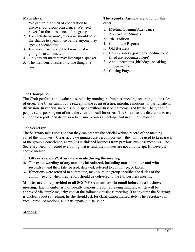#### **Main ideas:**

- 1. We gather in a spirit of cooperation to discover our group conscience. We need never fear the conscience of the group.
- 2. For each discussion\*, everyone should have the chance to speak once before anyone may speak a second time.
- 3. Everyone has the right to know what is going on at all times.
- 4. Only urgent matters may interrupt a speaker.
- 5. The members discuss only one thing at a time.

#### **The Agenda:** Agendas are to follow this order:

- 1. Meeting Opening/Attendance
- 2. Approval of Minutes
- 3. 7th Tradition
- 4. Committee Reports
- 5. Old Business
- 6. New Business (positions needing to be filled are recognized here)
- 7. Announcements (birthdays, speaking engagements)
- 8. Closing Prayer

#### **The Chairperson**

The Chair performs an invaluable service by running the business meeting according to the rules of order. The Chair cannot vote (except in the event of a tie), introduce motions, or participate in discussion. In general, no one should speak without first being recognized by the Chair, and if people start speaking out of turn, the chair will call for order. The Chair has the discretion to use a timer for reports and discussion to ensure business meetings end in a timely manner.

#### **The Secretary**

The Secretary takes notes so that they can prepare the official written record of the meeting, called the "minutes." Clear, accurate minutes are very important – they will be used to keep track of the group's conscience, as well as unfinished business from previous business meetings. The Secretary need not record everything that is said; the minutes are not a transcript. However, it should include:

- **1. Officer's reports\*, if any were made during the meeting.**
- **2. The exact wording of any motions introduced, including motion maker and who seconds it,** and their fate (passed, defeated, referred to committee, or tabled).
- **3.** If motions were referred to committee, make sure the group specifies the duties of the committee and when their report should be delivered to the full business meeting.

**Minutes are to be provided to all SCCYPAA members via email before next business meeting**. Each member is individually responsible for reviewing minutes, which will be approved via simple majority vote at the following business meeting. If at any time the Secretary is unclear about something, he/she should ask for clarification immediately. The Secretary can vote, introduce motions, and participate in discussion.

#### **Motions:**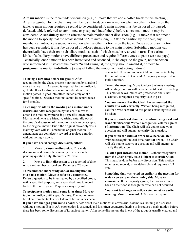A **main motion** is the topic under discussion (e.g., "I move that we add a coffee break to this meeting"). After recognition by the chair, any member can introduce a main motion when no other motion is on the table. A main motion requires a second to be considered. A main motion must be disposed of (passed, defeated, tabled, referred to committee, or postponed indefinitely) before a new main motion may be considered. A **subsidiary motion** affects the main motion under discussion (e.g., "I move that we amend the motion to specify that the break should be 5 minutes long"). After recognition by the chair, any member can introduce a subsidiary motion when another motion is on the table. Once a subsidiary motion has been seconded, it must be disposed of before returning to the main motion. Subsidiary motions can theoretically have their own subsidiary motions, each of which must be resolved in turn. The various kinds of subsidiary motions have different precedence and require different votes to pass (see next page). Technically, once a motion has been introduced and seconded, it "belongs" to the group, not the person who introduced it. Instead of the mover "withdrawing" it, the group should **amend** it, or move to **postpone the motion indefinitely** (a way of killing the motion without voting it down).

#### **To bring a new idea before the group:** After

recognition by the chair, present your motion by starting I move that we A second is required for the **motion** to go to the floor for discussion, or consideration. If a motion passes, it goes into effect immediately or at a specified time. Defeated motions cannot be reintroduced for 6 months.

**To change or add to the wording of a motion under discussion:** After recognition by the chair, move to **amend** the motion by proposing a specific amendment. Most amendments are friendly, arising naturally out of the group's discussion of the motion, and can be accepted by the original mover. But if the original mover objects, a majority vote will still amend the original motion. An amendment can completely reword or replace a motion without voting it down.

#### **If you have heard enough discussion, either:**

1. Move to **close the discussion**. This ends discussion and brings the assembly to a vote on the pending question only. Requires a 2/3 vote.

2. Move to **limit discussion** to a set period of time or to a set number of speakers. Requires a 2/3 vote.

**To recommend more study and/or investigation be given to a motion:** Move to **refer to a committe**e. Refers a question to be investigated by a specified group, with a specified purpose, and a specified time to report back to the entire group. Requires a majority vote.

**To postpone a motion until some later time:** Move to **table the motion** until a specific time. The motion may be taken from the table after 1 item of business has been conducted. If the motion is not taken from the table by the end of the next, it is dead. A majority is required to table a motion.

**To end the meeting:** Move to **close business meeting**. All pending motions will be tabled until next biz meeting. This motion takes immediate precedence and is not discussed. It requires a majority vote to pass.

**You are unsure that the Chair has announced the results of a vote correctly**. Without being recognized, call for a **vote recount** At this point a standing vote will be taken.

**If you are confused about a procedure being used and want clarification:** Without recognition, call for a **point of information**. The Chair will ask you to state your question and will attempt to clarify the situation.

**If you think the rules of order have been violated:** Without recognition, call for a **point of order.** The Chair will ask you to state your question and will attempt to clarify the situation.

**To kill a just-introduced motion:** Without recognition from the Chair simply state **I object to consideration**. This must be done before any discussion. This motion requires no second, is not debatable and requires a 2/3 vote.

**Something that was voted on earlier in the meeting for which you were on the winning side**. Move to **reconsider**. If the majority agrees, the motion comes back on the floor as though the vote had not occurred.

**You want to change an action voted on at an earlier meeting.** Move to **rescind**. A 2/3 vote is required

**If you have changed your mind about:** A note about main motions: in adversarial assemblies, nothing is discussed without a motion. But in AA, cooperation is assumed, and it is often counterproductive to introduce a main motion before there has been some discussion of its subject matter. After some discussion, the intent of the group is usually clearer, and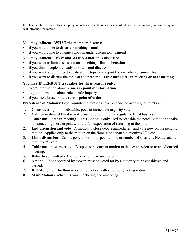the chair can be of service by attempting to coalesce what he or she has heard into a coherent motion, and ask if anyone will introduce the motion.

#### **You may influence WHAT the members discuss:**

- if you would like to discuss something **motion**
- if you would like to change a motion under discussion **amend**

#### **You may influence HOW and WHEN a motion is discussed:**

- if you want to limit discussion on something **limit discussion**
- if you think people are ready to vote **end discussion**
- if you want a committee to evaluate the topic and report back **refer to committee**
- if you want to discuss the topic at another time **table until later in meeting or next meeting**

#### **You may INTERRUPT a speaker for these reasons only:**

- to get information about business **point of information**
- to get information about rules **rule inquiry**
- if you see a breach of the rules **point of order**

**Precedence of Motions:** Lower-numbered motions have precedence over higher numbers.

- 1. **Close meeting** Not debatable; goes to immediate majority vote.
- 2. **Call for orders of the day** A demand to return to the regular order of business.
- 1. **Table until later in meeting** This motion is only used to set aside the pending motion to take up something more urgent, with the full expectation of returning to the motion.
- 2. **End discussion and vote** A motion to close debate immediately and vote now on the pending motion. Applies only to the motion on the floor. Not debatable; requires 2/3 vote.
- 3. **Limit discussion** Can be general, or for a specific time or number of speakers. Not debatable; requires 2/3 vote.
- 4. **Table until next meeting** Postpones the current motion to the next session or to an adjourned meeting.
- 5. **Refer to committee** Applies only to the main motion.
- 6. **Amend** If not accepted by mover, must be voted for by a majority to be considered and passed.
- 7. **Kill Motion on the floor** Kills the motion without directly voting it down.
- 8. **Main Motion** What it is you're debating and amending.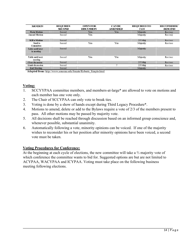| <b>MOTION</b>                          | <b>REQUIRES</b><br><b>SECOND</b> | <b>OPEN FOR</b><br><b>DISCUSSION</b> | <b>CANBE</b><br><b>AMENDED</b> | <b>REQUIRED TO</b><br><b>PASS</b> | <b>RECONSIDER</b><br><b>RESCIND</b> |
|----------------------------------------|----------------------------------|--------------------------------------|--------------------------------|-----------------------------------|-------------------------------------|
| <b>Main Motion</b>                     | Second                           | Yes                                  | Yes                            | Majority                          | Rec/resc                            |
| <b>Amend Motion</b>                    | Second                           | Yes                                  |                                | Majority                          | Rec/resc                            |
| <b>Kill a Motion</b>                   | Second                           |                                      |                                | $2/3$ Maj                         | Rec/resc                            |
| Send to<br>Committee                   | Second                           | Yes                                  | Yes                            | Majority                          | Rec/resc                            |
| <b>Table until later</b><br>in meeting | Second                           |                                      |                                | Majority                          |                                     |
| Table until next<br>meeting            | Second                           | Yes                                  | Yes                            | Majority                          | Rec/resc                            |
| <b>Close discussion</b>                | Second                           |                                      |                                | $2/3$ Maj                         | Rec/resc                            |
| <b>Limit discussion</b>                | Second                           |                                      | $\mathcal{P}$                  | $2/3$ Maj                         | Rec/resc                            |
| <b>End Meeting</b>                     | Second                           |                                      |                                | Majority                          |                                     |

Adapted from: http://www.sonoma.edu/Senate/Roberts Simple.html

#### **Voting:**

- 1. SCCYYPAA committee members, and members-at-large\* are allowed to vote on motions and each member has one vote only.
- 2. The Chair of SCCYPAA can only vote to break ties.
- 3. Voting is done by a show of hands except during Third Legacy Procedure\*.
- 4. Motions to amend, delete or add to the Bylaws require a vote of 2/3 of the members present to pass. All other motions may be passed by majority vote.
- 5. All decisions shall be reached through discussion based on an informed group conscience and, whenever possible, substantial unanimity.
- 6. Automatically following a vote, minority opinions can be voiced. If one of the majority wishes to reconsider his or her position after minority opinions have been voiced, a second vote must be taken.

#### **Voting Procedures for Conference:**

At the beginning at each cycle of elections, the new committee will take a ⅔ majority vote of which conference the committee wants to bid for. Suggested options are but are not limited to ACYPAA, WACYPAA and ICYPAA. Voting must take place on the following business meeting following elections.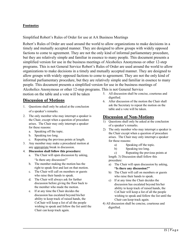#### **Footnotes**

Simplified Robert's Rules of Order for use at AA Business Meetings

Robert's Rules of Order are used around the world to allow organizations to make decisions in a timely and mutually accepted manner. They are designed to allow groups with widely opposed factions to come to agreement. They are not the only kind of informal parliamentary procedure, but they are relatively simple and familiar in essence to many people. This document presents a simplified version for use in the business meetings of Alcoholics Anonymous or other 12-step programs. This is not General Service Robert's Rules of Order are used around the world to allow organizations to make decisions in a timely and mutually accepted manner. They are designed to allow groups with widely opposed factions to come to agreement. They are not the only kind of informal parliamentary procedure, but they are relatively simple and familiar in essence to many people. This document presents a simplified version for use in the business meetings of Alcoholics Anonymous or other 12-step programs. This is not General Service

motion on the table and a vote will be taken

# **Discussion of Motions**

- 1. Questions shall only be asked at the conclusion of a speaker's remarks.
- 2. The only member who may interrupt a speaker is the Chair, except when a question of procedure arises. The Chair may only interrupt a speaker for these reasons:
	- a. Speaking off the topic.
	- b. Speaking too long.
	- c. Repeating the previous points at length.
- 3. Any member may make a procedural motion at any appropriate break in discussion.
- 4. **Discussion shall follow this procedure:** 
	- a. The Chair will open discussion by asking, "Is there any discussion?"
	- b. The member making the motion has the right to speak first and last on that motion.
	- c. The Chair will call on members or guests who raise their hands to speak.
	- d. The Chair will always ask for further discussion before giving the floor back to the member who made the motion.
	- e. If at any time the Chair decides the discussion has escalated beyond his/her ability to keep track of raised hands, the CoChair will keep a list of all the people wishing to speak and follow the list until the Chair can keep track again.
- 5. All discussion shall be concise, courteous and dignified.
- 6. After discussion of the motion the Chair shall ask the Secretary to repeat the motion on the table and a vote will be taken.

#### **Discussion of Non-Motions**

- 1) Questions shall only be asked at the conclusion of a speaker's remarks.
- 2) The only member who may interrupt a speaker is the Chair except when a question of procedure arises. The Chair may only interrupt a speaker for these reasons:
	- a) Speaking off the topic.
	- b) Speaking too long.

c) Repeating the previous points at length. 3) Discussion shall follow this procedure:

- a) The Chair will open discussion by asking, **"Is there any discussion?"**
- b) The Chair will call on members or guests who raise their hands to speak.
- c) If at any time the Chair decides the discussion has escalated beyond his/her ability to keep track of raised hands, the CoChair will keep a list of all the people wishing to speak and follow the list until the Chair can keep track again.
- 4) All discussion shall be concise, courteous and dignified.